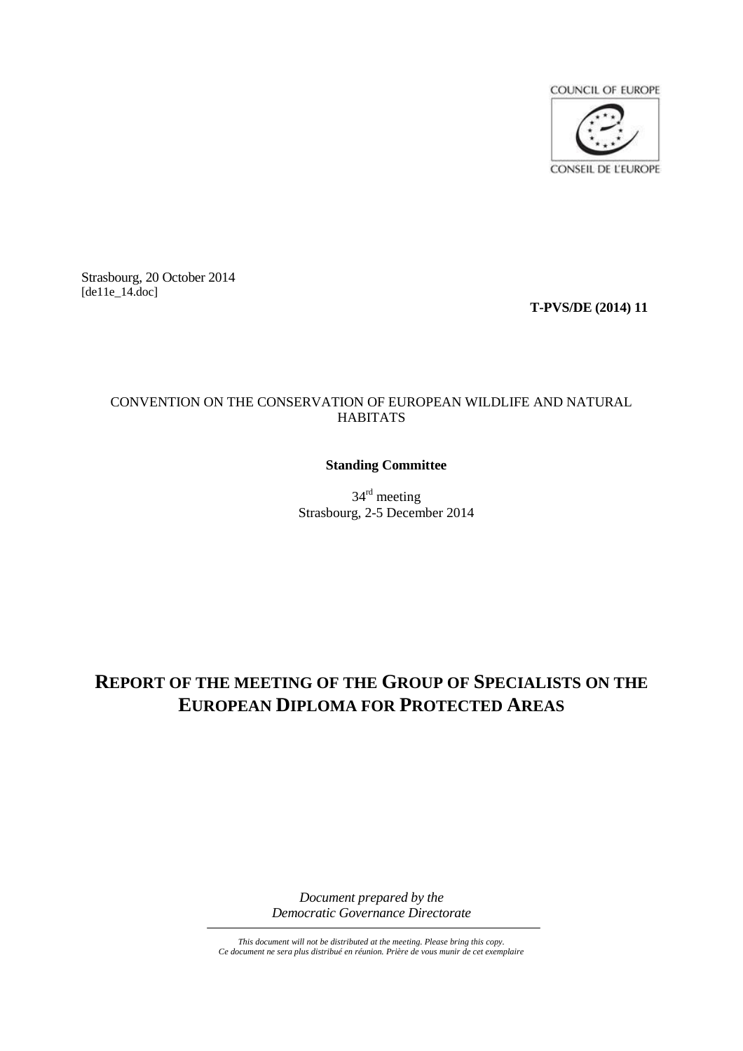

Strasbourg, 20 October 2014 [de11e\_14.doc]

**T-PVS/DE (2014) 11**

# CONVENTION ON THE CONSERVATION OF EUROPEAN WILDLIFE AND NATURAL HABITATS

# **Standing Committee**

34<sup>rd</sup> meeting Strasbourg, 2-5 December 2014

# **REPORT OF THE MEETING OF THE GROUP OF SPECIALISTS ON THE EUROPEAN DIPLOMA FOR PROTECTED AREAS**

*Document prepared by the Democratic Governance Directorate*

*This document will not be distributed at the meeting. Please bring this copy. Ce document ne sera plus distribué en réunion. Prière de vous munir de cet exemplaire*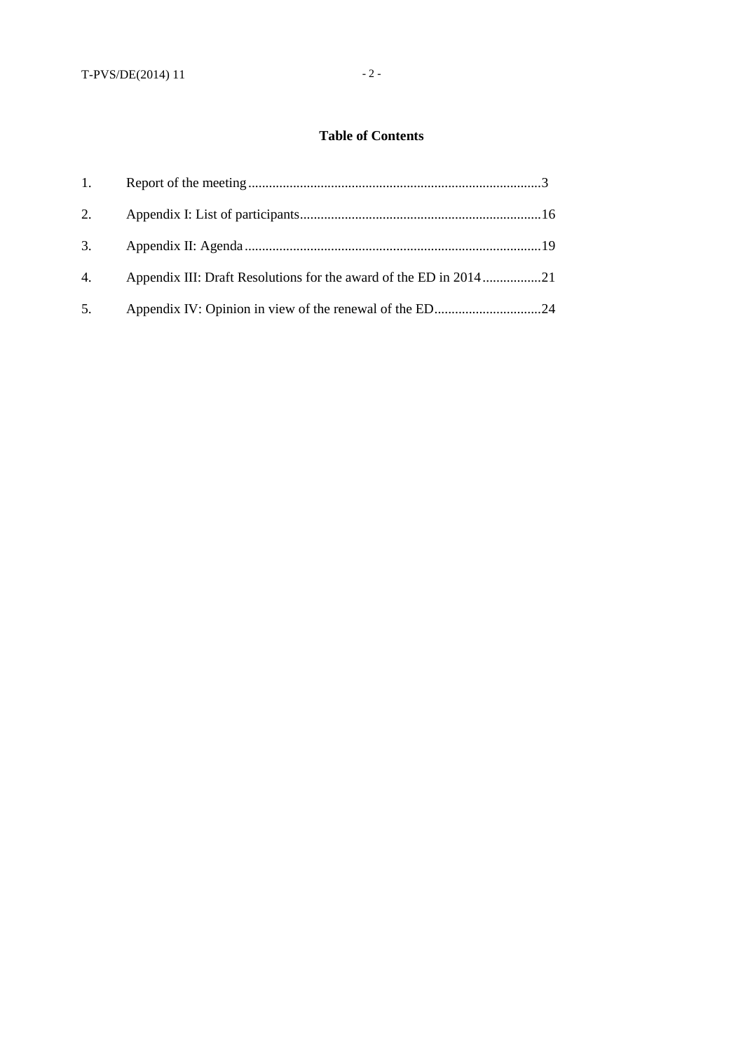# **Table of Contents**

| 1. |                                                                   |  |
|----|-------------------------------------------------------------------|--|
| 2. |                                                                   |  |
| 3. |                                                                   |  |
| 4. | Appendix III: Draft Resolutions for the award of the ED in 201421 |  |
| 5. |                                                                   |  |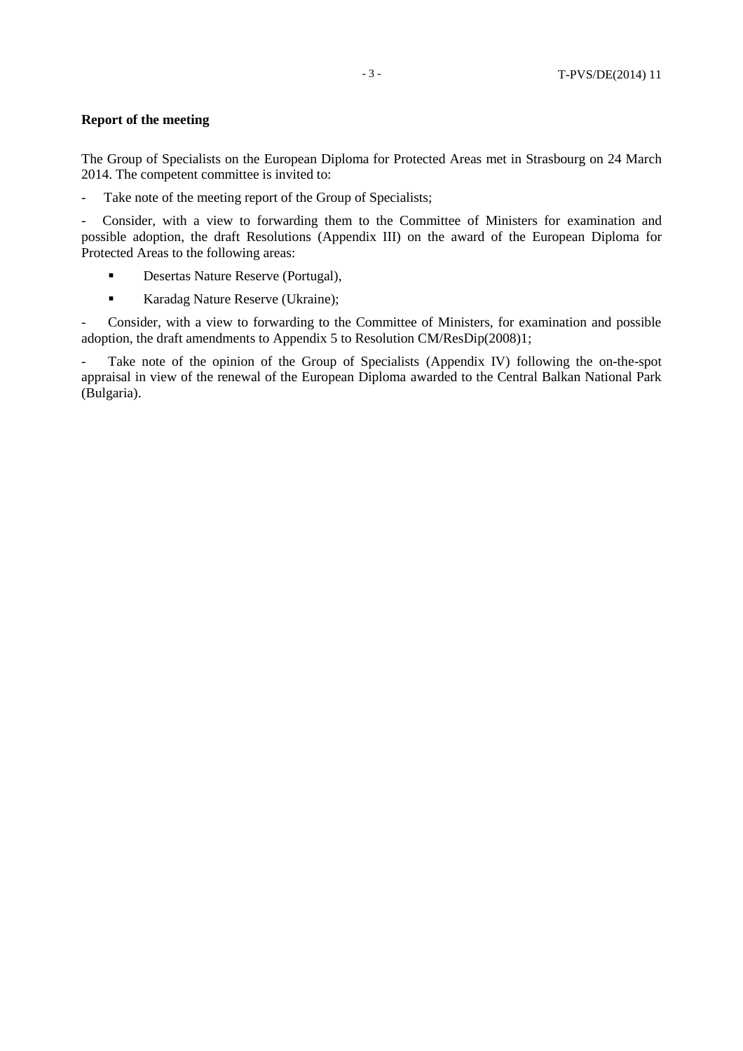## **Report of the meeting**

The Group of Specialists on the European Diploma for Protected Areas met in Strasbourg on 24 March 2014. The competent committee is invited to:

- Take note of the meeting report of the Group of Specialists;

- Consider, with a view to forwarding them to the Committee of Ministers for examination and possible adoption, the draft Resolutions (Appendix III) on the award of the European Diploma for Protected Areas to the following areas:

- **Desertas Nature Reserve (Portugal),**
- Karadag Nature Reserve (Ukraine);

- Consider, with a view to forwarding to the Committee of Ministers, for examination and possible adoption, the draft amendments to Appendix 5 to Resolution CM/ResDip(2008)1;

- Take note of the opinion of the Group of Specialists (Appendix IV) following the on-the-spot appraisal in view of the renewal of the European Diploma awarded to the Central Balkan National Park (Bulgaria).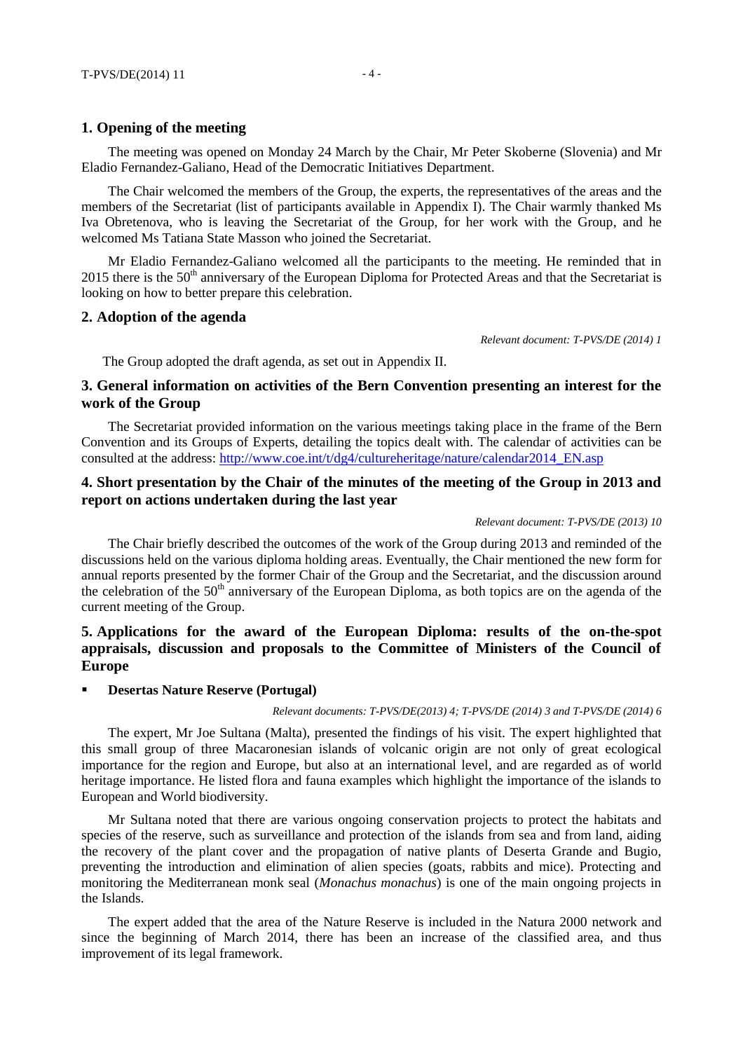The meeting was opened on Monday 24 March by the Chair, Mr Peter Skoberne (Slovenia) and Mr Eladio Fernandez-Galiano, Head of the Democratic Initiatives Department.

The Chair welcomed the members of the Group, the experts, the representatives of the areas and the members of the Secretariat (list of participants available in Appendix I). The Chair warmly thanked Ms Iva Obretenova, who is leaving the Secretariat of the Group, for her work with the Group, and he welcomed Ms Tatiana State Masson who joined the Secretariat.

Mr Eladio Fernandez-Galiano welcomed all the participants to the meeting. He reminded that in  $2015$  there is the  $50<sup>th</sup>$  anniversary of the European Diploma for Protected Areas and that the Secretariat is looking on how to better prepare this celebration.

## **2. Adoption of the agenda**

*Relevant document: T-PVS/DE (2014) 1*

The Group adopted the draft agenda, as set out in Appendix II.

# **3. General information on activities of the Bern Convention presenting an interest for the work of the Group**

The Secretariat provided information on the various meetings taking place in the frame of the Bern Convention and its Groups of Experts, detailing the topics dealt with. The calendar of activities can be consulted at the address: [http://www.coe.int/t/dg4/cultureheritage/nature/calendar2014\\_EN.asp](http://www.coe.int/t/dg4/cultureheritage/nature/calendar2014_EN.asp)

## **4. Short presentation by the Chair of the minutes of the meeting of the Group in 2013 and report on actions undertaken during the last year**

#### *Relevant document: T-PVS/DE (2013) 10*

The Chair briefly described the outcomes of the work of the Group during 2013 and reminded of the discussions held on the various diploma holding areas. Eventually, the Chair mentioned the new form for annual reports presented by the former Chair of the Group and the Secretariat, and the discussion around the celebration of the 50<sup>th</sup> anniversary of the European Diploma, as both topics are on the agenda of the current meeting of the Group.

# **5. Applications for the award of the European Diploma: results of the on-the-spot appraisals, discussion and proposals to the Committee of Ministers of the Council of Europe**

## **Desertas Nature Reserve (Portugal)**

*Relevant documents: T-PVS/DE(2013) 4; T-PVS/DE (2014) 3 and T-PVS/DE (2014) 6*

The expert, Mr Joe Sultana (Malta), presented the findings of his visit. The expert highlighted that this small group of three Macaronesian islands of volcanic origin are not only of great ecological importance for the region and Europe, but also at an international level, and are regarded as of world heritage importance. He listed flora and fauna examples which highlight the importance of the islands to European and World biodiversity.

Mr Sultana noted that there are various ongoing conservation projects to protect the habitats and species of the reserve, such as surveillance and protection of the islands from sea and from land, aiding the recovery of the plant cover and the propagation of native plants of Deserta Grande and Bugio, preventing the introduction and elimination of alien species (goats, rabbits and mice). Protecting and monitoring the Mediterranean monk seal (*Monachus monachus*) is one of the main ongoing projects in the Islands.

The expert added that the area of the Nature Reserve is included in the Natura 2000 network and since the beginning of March 2014, there has been an increase of the classified area, and thus improvement of its legal framework.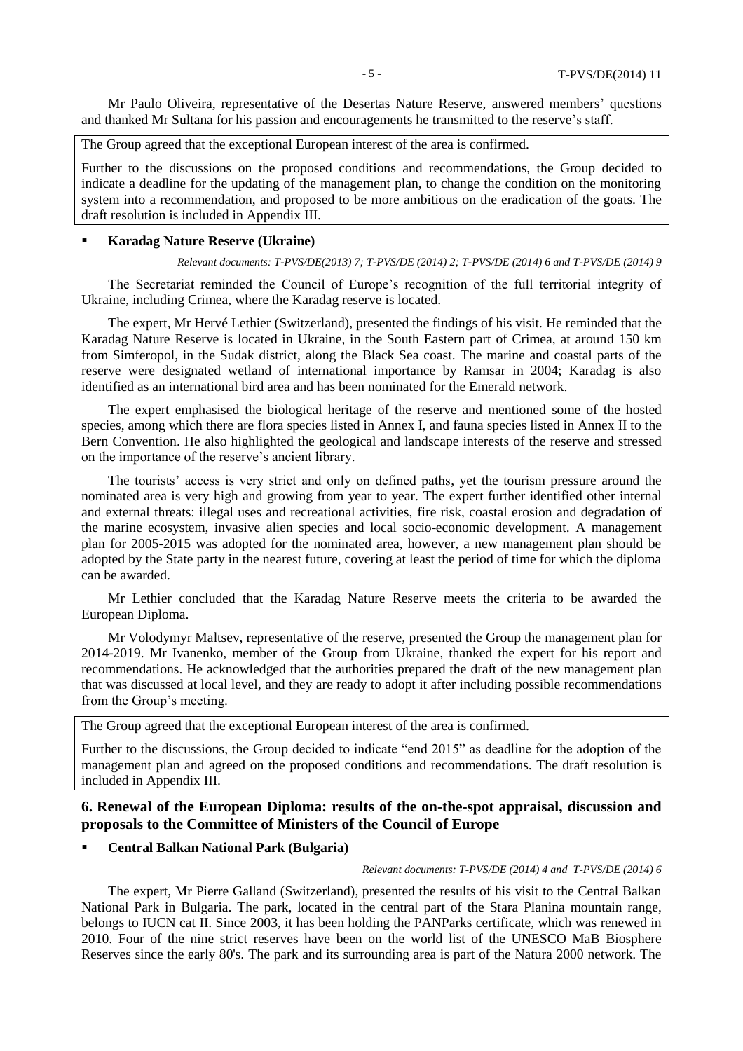Mr Paulo Oliveira, representative of the Desertas Nature Reserve, answered members' questions and thanked Mr Sultana for his passion and encouragements he transmitted to the reserve's staff.

The Group agreed that the exceptional European interest of the area is confirmed.

Further to the discussions on the proposed conditions and recommendations, the Group decided to indicate a deadline for the updating of the management plan, to change the condition on the monitoring system into a recommendation, and proposed to be more ambitious on the eradication of the goats. The draft resolution is included in Appendix III.

#### **Karadag Nature Reserve (Ukraine)**

*Relevant documents: T-PVS/DE(2013) 7; T-PVS/DE (2014) 2; T-PVS/DE (2014) 6 and T-PVS/DE (2014) 9*

The Secretariat reminded the Council of Europe's recognition of the full territorial integrity of Ukraine, including Crimea, where the Karadag reserve is located.

The expert, Mr Hervé Lethier (Switzerland), presented the findings of his visit. He reminded that the Karadag Nature Reserve is located in Ukraine, in the South Eastern part of Crimea, at around 150 km from Simferopol, in the Sudak district, along the Black Sea coast. The marine and coastal parts of the reserve were designated wetland of international importance by Ramsar in 2004; Karadag is also identified as an international bird area and has been nominated for the Emerald network.

The expert emphasised the biological heritage of the reserve and mentioned some of the hosted species, among which there are flora species listed in Annex I, and fauna species listed in Annex II to the Bern Convention. He also highlighted the geological and landscape interests of the reserve and stressed on the importance of the reserve's ancient library.

The tourists' access is very strict and only on defined paths, yet the tourism pressure around the nominated area is very high and growing from year to year. The expert further identified other internal and external threats: illegal uses and recreational activities, fire risk, coastal erosion and degradation of the marine ecosystem, invasive alien species and local socio-economic development. A management plan for 2005-2015 was adopted for the nominated area, however, a new management plan should be adopted by the State party in the nearest future, covering at least the period of time for which the diploma can be awarded.

Mr Lethier concluded that the Karadag Nature Reserve meets the criteria to be awarded the European Diploma.

Mr Volodymyr Maltsev, representative of the reserve, presented the Group the management plan for 2014-2019. Mr Ivanenko, member of the Group from Ukraine, thanked the expert for his report and recommendations. He acknowledged that the authorities prepared the draft of the new management plan that was discussed at local level, and they are ready to adopt it after including possible recommendations from the Group's meeting.

The Group agreed that the exceptional European interest of the area is confirmed.

Further to the discussions, the Group decided to indicate "end 2015" as deadline for the adoption of the management plan and agreed on the proposed conditions and recommendations. The draft resolution is included in Appendix III.

# **6. Renewal of the European Diploma: results of the on-the-spot appraisal, discussion and proposals to the Committee of Ministers of the Council of Europe**

#### **Central Balkan National Park (Bulgaria)**

*Relevant documents: T-PVS/DE (2014) 4 and T-PVS/DE (2014) 6*

The expert, Mr Pierre Galland (Switzerland), presented the results of his visit to the Central Balkan National Park in Bulgaria. The park, located in the central part of the Stara Planina mountain range, belongs to IUCN cat II. Since 2003, it has been holding the PANParks certificate, which was renewed in 2010. Four of the nine strict reserves have been on the world list of the UNESCO MaB Biosphere Reserves since the early 80's. The park and its surrounding area is part of the Natura 2000 network. The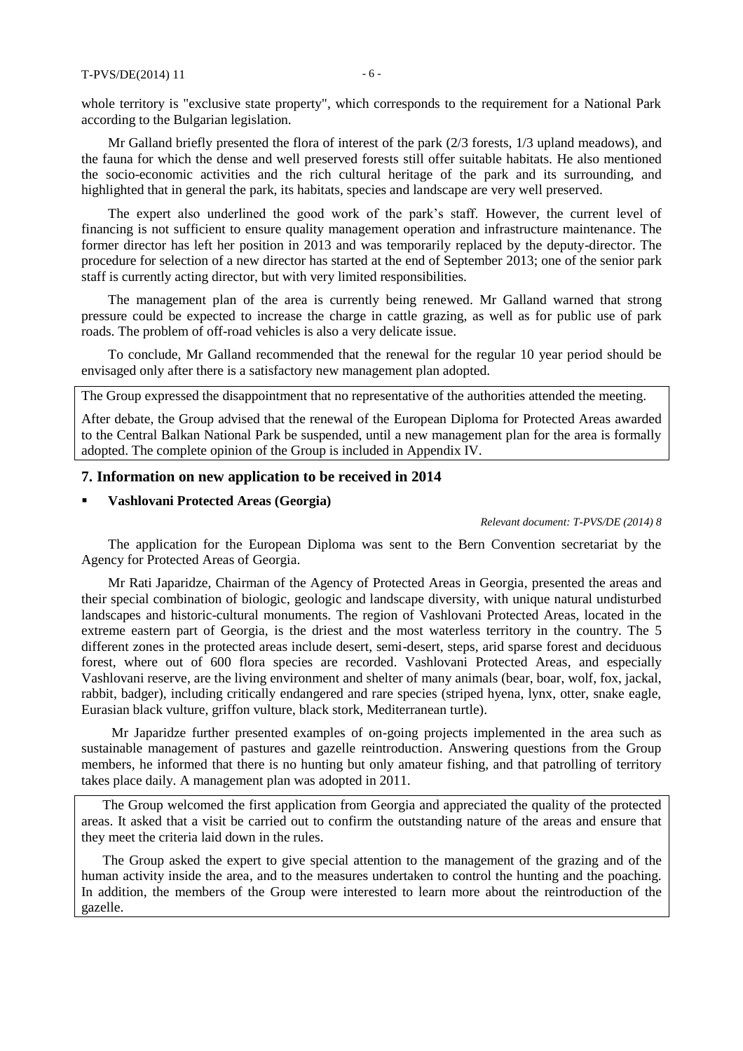whole territory is "exclusive state property", which corresponds to the requirement for a National Park according to the Bulgarian legislation.

Mr Galland briefly presented the flora of interest of the park (2/3 forests, 1/3 upland meadows), and the fauna for which the dense and well preserved forests still offer suitable habitats. He also mentioned the socio-economic activities and the rich cultural heritage of the park and its surrounding, and highlighted that in general the park, its habitats, species and landscape are very well preserved.

The expert also underlined the good work of the park's staff. However, the current level of financing is not sufficient to ensure quality management operation and infrastructure maintenance. The former director has left her position in 2013 and was temporarily replaced by the deputy-director. The procedure for selection of a new director has started at the end of September 2013; one of the senior park staff is currently acting director, but with very limited responsibilities.

The management plan of the area is currently being renewed. Mr Galland warned that strong pressure could be expected to increase the charge in cattle grazing, as well as for public use of park roads. The problem of off-road vehicles is also a very delicate issue.

To conclude, Mr Galland recommended that the renewal for the regular 10 year period should be envisaged only after there is a satisfactory new management plan adopted.

The Group expressed the disappointment that no representative of the authorities attended the meeting.

After debate, the Group advised that the renewal of the European Diploma for Protected Areas awarded to the Central Balkan National Park be suspended, until a new management plan for the area is formally adopted. The complete opinion of the Group is included in Appendix IV.

#### **7. Information on new application to be received in 2014**

#### **Vashlovani Protected Areas (Georgia)**

*Relevant document: T-PVS/DE (2014) 8*

The application for the European Diploma was sent to the Bern Convention secretariat by the Agency for Protected Areas of Georgia.

Mr Rati Japaridze, Chairman of the Agency of Protected Areas in Georgia, presented the areas and their special combination of biologic, geologic and landscape diversity, with unique natural undisturbed landscapes and historic-cultural monuments. The region of Vashlovani Protected Areas, located in the extreme eastern part of Georgia, is the driest and the most waterless territory in the country. The 5 different zones in the protected areas include desert, semi-desert, steps, arid sparse forest and deciduous forest, where out of 600 flora species are recorded. Vashlovani Protected Areas, and especially Vashlovani reserve, are the living environment and shelter of many animals (bear, boar, wolf, fox, jackal, rabbit, badger), including critically endangered and rare species (striped hyena, lynx, otter, snake eagle, Eurasian black vulture, griffon vulture, black stork, Mediterranean turtle).

Mr Japaridze further presented examples of on-going projects implemented in the area such as sustainable management of pastures and gazelle reintroduction. Answering questions from the Group members, he informed that there is no hunting but only amateur fishing, and that patrolling of territory takes place daily. A management plan was adopted in 2011.

The Group welcomed the first application from Georgia and appreciated the quality of the protected areas. It asked that a visit be carried out to confirm the outstanding nature of the areas and ensure that they meet the criteria laid down in the rules.

The Group asked the expert to give special attention to the management of the grazing and of the human activity inside the area, and to the measures undertaken to control the hunting and the poaching. In addition, the members of the Group were interested to learn more about the reintroduction of the gazelle.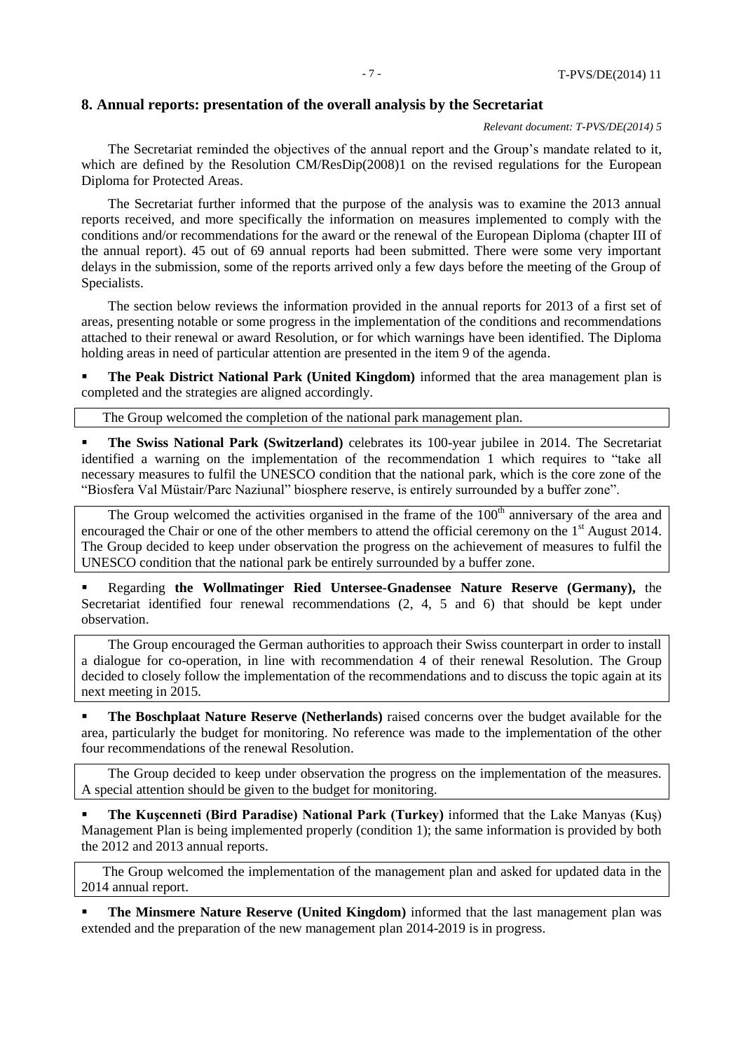#### **8. Annual reports: presentation of the overall analysis by the Secretariat**

*Relevant document: T-PVS/DE(2014) 5*

The Secretariat reminded the objectives of the annual report and the Group's mandate related to it, which are defined by the Resolution CM/ResDip(2008)1 on the revised regulations for the European Diploma for Protected Areas.

The Secretariat further informed that the purpose of the analysis was to examine the 2013 annual reports received, and more specifically the information on measures implemented to comply with the conditions and/or recommendations for the award or the renewal of the European Diploma (chapter III of the annual report). 45 out of 69 annual reports had been submitted. There were some very important delays in the submission, some of the reports arrived only a few days before the meeting of the Group of Specialists.

The section below reviews the information provided in the annual reports for 2013 of a first set of areas, presenting notable or some progress in the implementation of the conditions and recommendations attached to their renewal or award Resolution, or for which warnings have been identified. The Diploma holding areas in need of particular attention are presented in the item 9 of the agenda.

**The Peak District National Park (United Kingdom)** informed that the area management plan is completed and the strategies are aligned accordingly.

The Group welcomed the completion of the national park management plan.

 **The Swiss National Park (Switzerland)** celebrates its 100-year jubilee in 2014. The Secretariat identified a warning on the implementation of the recommendation 1 which requires to "take all necessary measures to fulfil the UNESCO condition that the national park, which is the core zone of the "Biosfera Val Müstair/Parc Naziunal" biosphere reserve, is entirely surrounded by a buffer zone".

The Group welcomed the activities organised in the frame of the  $100<sup>th</sup>$  anniversary of the area and encouraged the Chair or one of the other members to attend the official ceremony on the 1<sup>st</sup> August 2014. The Group decided to keep under observation the progress on the achievement of measures to fulfil the UNESCO condition that the national park be entirely surrounded by a buffer zone.

 Regarding **the Wollmatinger Ried Untersee-Gnadensee Nature Reserve (Germany),** the Secretariat identified four renewal recommendations (2, 4, 5 and 6) that should be kept under observation.

The Group encouraged the German authorities to approach their Swiss counterpart in order to install a dialogue for co-operation, in line with recommendation 4 of their renewal Resolution. The Group decided to closely follow the implementation of the recommendations and to discuss the topic again at its next meeting in 2015.

 **The Boschplaat Nature Reserve (Netherlands)** raised concerns over the budget available for the area, particularly the budget for monitoring. No reference was made to the implementation of the other four recommendations of the renewal Resolution.

The Group decided to keep under observation the progress on the implementation of the measures. A special attention should be given to the budget for monitoring.

 **The Kuşcenneti (Bird Paradise) National Park (Turkey)** informed that the Lake Manyas (Kuş) Management Plan is being implemented properly (condition 1); the same information is provided by both the 2012 and 2013 annual reports.

The Group welcomed the implementation of the management plan and asked for updated data in the 2014 annual report.

 **The Minsmere Nature Reserve (United Kingdom)** informed that the last management plan was extended and the preparation of the new management plan 2014-2019 is in progress.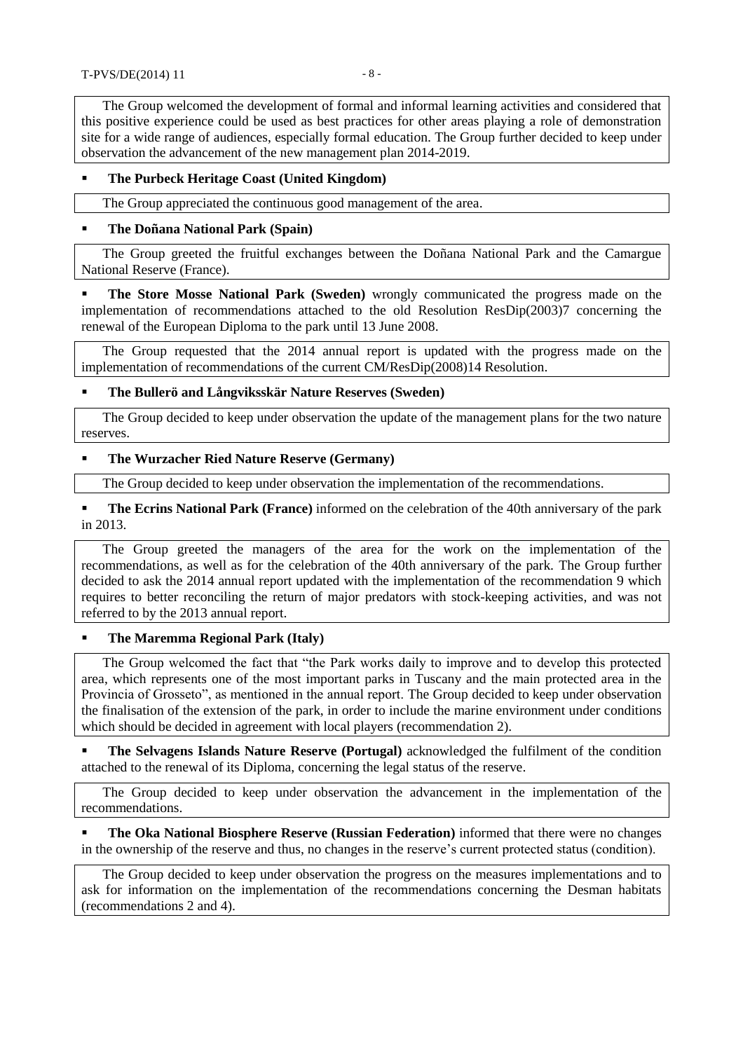The Group welcomed the development of formal and informal learning activities and considered that this positive experience could be used as best practices for other areas playing a role of demonstration site for a wide range of audiences, especially formal education. The Group further decided to keep under observation the advancement of the new management plan 2014-2019.

## **The Purbeck Heritage Coast (United Kingdom)**

The Group appreciated the continuous good management of the area.

#### **The Doñana National Park (Spain)**

The Group greeted the fruitful exchanges between the Doñana National Park and the Camargue National Reserve (France).

 **The Store Mosse National Park (Sweden)** wrongly communicated the progress made on the implementation of recommendations attached to the old Resolution ResDip(2003)7 concerning the renewal of the European Diploma to the park until 13 June 2008.

The Group requested that the 2014 annual report is updated with the progress made on the implementation of recommendations of the current CM/ResDip(2008)14 Resolution.

#### **The Bullerö and Långviksskär Nature Reserves (Sweden)**

The Group decided to keep under observation the update of the management plans for the two nature reserves.

## **The Wurzacher Ried Nature Reserve (Germany)**

The Group decided to keep under observation the implementation of the recommendations.

 **The Ecrins National Park (France)** informed on the celebration of the 40th anniversary of the park in 2013.

The Group greeted the managers of the area for the work on the implementation of the recommendations, as well as for the celebration of the 40th anniversary of the park. The Group further decided to ask the 2014 annual report updated with the implementation of the recommendation 9 which requires to better reconciling the return of major predators with stock-keeping activities, and was not referred to by the 2013 annual report.

## **The Maremma Regional Park (Italy)**

The Group welcomed the fact that "the Park works daily to improve and to develop this protected area, which represents one of the most important parks in Tuscany and the main protected area in the Provincia of Grosseto", as mentioned in the annual report. The Group decided to keep under observation the finalisation of the extension of the park, in order to include the marine environment under conditions which should be decided in agreement with local players (recommendation 2).

 **The Selvagens Islands Nature Reserve (Portugal)** acknowledged the fulfilment of the condition attached to the renewal of its Diploma, concerning the legal status of the reserve.

The Group decided to keep under observation the advancement in the implementation of the recommendations.

 **The Oka National Biosphere Reserve (Russian Federation)** informed that there were no changes in the ownership of the reserve and thus, no changes in the reserve's current protected status (condition).

The Group decided to keep under observation the progress on the measures implementations and to ask for information on the implementation of the recommendations concerning the Desman habitats (recommendations 2 and 4).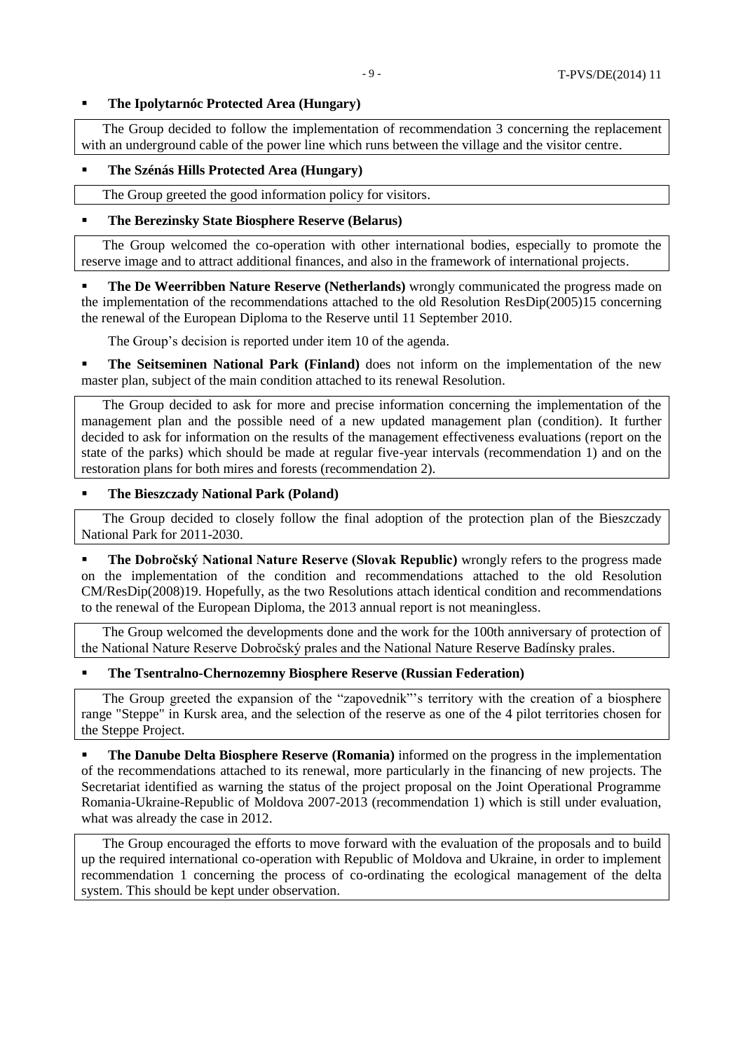## **The Ipolytarnóc Protected Area (Hungary)**

The Group decided to follow the implementation of recommendation 3 concerning the replacement with an underground cable of the power line which runs between the village and the visitor centre.

## **The Szénás Hills Protected Area (Hungary)**

The Group greeted the good information policy for visitors.

## **The Berezinsky State Biosphere Reserve (Belarus)**

The Group welcomed the co-operation with other international bodies, especially to promote the reserve image and to attract additional finances, and also in the framework of international projects.

 **The De Weerribben Nature Reserve (Netherlands)** wrongly communicated the progress made on the implementation of the recommendations attached to the old Resolution ResDip(2005)15 concerning the renewal of the European Diploma to the Reserve until 11 September 2010.

The Group's decision is reported under item 10 of the agenda.

**The Seitseminen National Park (Finland)** does not inform on the implementation of the new master plan, subject of the main condition attached to its renewal Resolution.

The Group decided to ask for more and precise information concerning the implementation of the management plan and the possible need of a new updated management plan (condition). It further decided to ask for information on the results of the management effectiveness evaluations (report on the state of the parks) which should be made at regular five-year intervals (recommendation 1) and on the restoration plans for both mires and forests (recommendation 2).

#### **The Bieszczady National Park (Poland)**

The Group decided to closely follow the final adoption of the protection plan of the Bieszczady National Park for 2011-2030.

 **The Dobročský National Nature Reserve (Slovak Republic)** wrongly refers to the progress made on the implementation of the condition and recommendations attached to the old Resolution CM/ResDip(2008)19. Hopefully, as the two Resolutions attach identical condition and recommendations to the renewal of the European Diploma, the 2013 annual report is not meaningless.

The Group welcomed the developments done and the work for the 100th anniversary of protection of the National Nature Reserve Dobročský prales and the National Nature Reserve Badínsky prales.

#### **The Tsentralno-Chernozemny Biosphere Reserve (Russian Federation)**

The Group greeted the expansion of the "zapovednik"'s territory with the creation of a biosphere range "Steppe" in Kursk area, and the selection of the reserve as one of the 4 pilot territories chosen for the Steppe Project.

**The Danube Delta Biosphere Reserve (Romania)** informed on the progress in the implementation of the recommendations attached to its renewal, more particularly in the financing of new projects. The Secretariat identified as warning the status of the project proposal on the Joint Operational Programme Romania-Ukraine-Republic of Moldova 2007-2013 (recommendation 1) which is still under evaluation, what was already the case in 2012.

The Group encouraged the efforts to move forward with the evaluation of the proposals and to build up the required international co-operation with Republic of Moldova and Ukraine, in order to implement recommendation 1 concerning the process of co-ordinating the ecological management of the delta system. This should be kept under observation.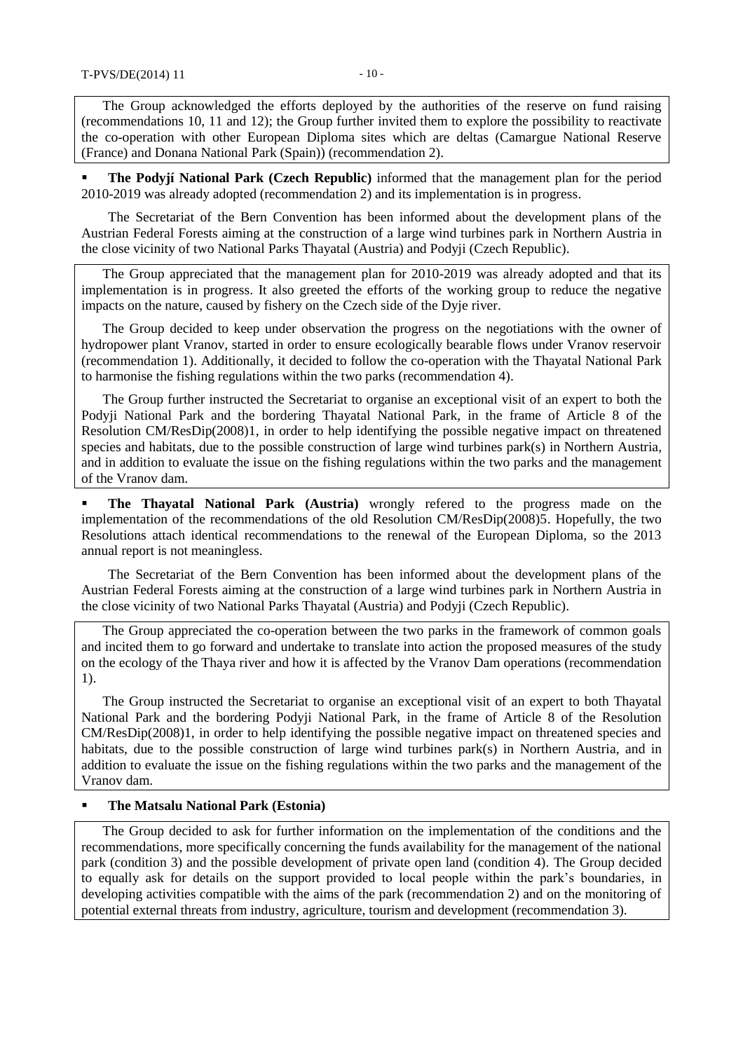The Group acknowledged the efforts deployed by the authorities of the reserve on fund raising (recommendations 10, 11 and 12); the Group further invited them to explore the possibility to reactivate the co-operation with other European Diploma sites which are deltas (Camargue National Reserve (France) and Donana National Park (Spain)) (recommendation 2).

 **The Podyjí National Park (Czech Republic)** informed that the management plan for the period 2010-2019 was already adopted (recommendation 2) and its implementation is in progress.

The Secretariat of the Bern Convention has been informed about the development plans of the Austrian Federal Forests aiming at the construction of a large wind turbines park in Northern Austria in the close vicinity of two National Parks Thayatal (Austria) and Podyji (Czech Republic).

The Group appreciated that the management plan for 2010-2019 was already adopted and that its implementation is in progress. It also greeted the efforts of the working group to reduce the negative impacts on the nature, caused by fishery on the Czech side of the Dyje river.

The Group decided to keep under observation the progress on the negotiations with the owner of hydropower plant Vranov, started in order to ensure ecologically bearable flows under Vranov reservoir (recommendation 1). Additionally, it decided to follow the co-operation with the Thayatal National Park to harmonise the fishing regulations within the two parks (recommendation 4).

The Group further instructed the Secretariat to organise an exceptional visit of an expert to both the Podyji National Park and the bordering Thayatal National Park, in the frame of Article 8 of the Resolution CM/ResDip(2008)1, in order to help identifying the possible negative impact on threatened species and habitats, due to the possible construction of large wind turbines park(s) in Northern Austria, and in addition to evaluate the issue on the fishing regulations within the two parks and the management of the Vranov dam.

**The Thayatal National Park (Austria)** wrongly refered to the progress made on the implementation of the recommendations of the old Resolution CM/ResDip(2008)5. Hopefully, the two Resolutions attach identical recommendations to the renewal of the European Diploma, so the 2013 annual report is not meaningless.

The Secretariat of the Bern Convention has been informed about the development plans of the Austrian Federal Forests aiming at the construction of a large wind turbines park in Northern Austria in the close vicinity of two National Parks Thayatal (Austria) and Podyji (Czech Republic).

The Group appreciated the co-operation between the two parks in the framework of common goals and incited them to go forward and undertake to translate into action the proposed measures of the study on the ecology of the Thaya river and how it is affected by the Vranov Dam operations (recommendation 1).

The Group instructed the Secretariat to organise an exceptional visit of an expert to both Thayatal National Park and the bordering Podyji National Park, in the frame of Article 8 of the Resolution CM/ResDip(2008)1, in order to help identifying the possible negative impact on threatened species and habitats, due to the possible construction of large wind turbines park(s) in Northern Austria, and in addition to evaluate the issue on the fishing regulations within the two parks and the management of the Vranov dam.

#### **The Matsalu National Park (Estonia)**

The Group decided to ask for further information on the implementation of the conditions and the recommendations, more specifically concerning the funds availability for the management of the national park (condition 3) and the possible development of private open land (condition 4). The Group decided to equally ask for details on the support provided to local people within the park's boundaries, in developing activities compatible with the aims of the park (recommendation 2) and on the monitoring of potential external threats from industry, agriculture, tourism and development (recommendation 3).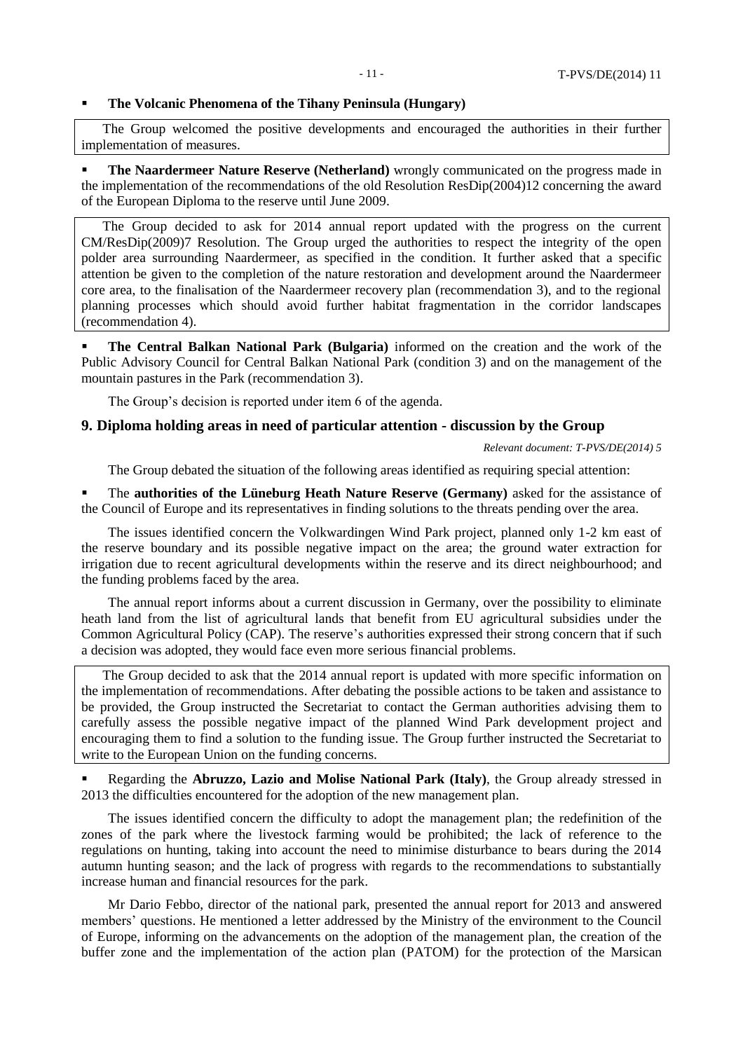#### **The Volcanic Phenomena of the Tihany Peninsula (Hungary)**

The Group welcomed the positive developments and encouraged the authorities in their further implementation of measures.

 **The Naardermeer Nature Reserve (Netherland)** wrongly communicated on the progress made in the implementation of the recommendations of the old Resolution ResDip(2004)12 concerning the award of the European Diploma to the reserve until June 2009.

The Group decided to ask for 2014 annual report updated with the progress on the current CM/ResDip(2009)7 Resolution. The Group urged the authorities to respect the integrity of the open polder area surrounding Naardermeer, as specified in the condition. It further asked that a specific attention be given to the completion of the nature restoration and development around the Naardermeer core area, to the finalisation of the Naardermeer recovery plan (recommendation 3), and to the regional planning processes which should avoid further habitat fragmentation in the corridor landscapes (recommendation 4).

 **The Central Balkan National Park (Bulgaria)** informed on the creation and the work of the Public Advisory Council for Central Balkan National Park (condition 3) and on the management of the mountain pastures in the Park (recommendation 3).

The Group's decision is reported under item 6 of the agenda.

#### **9. Diploma holding areas in need of particular attention - discussion by the Group**

*Relevant document: T-PVS/DE(2014) 5*

The Group debated the situation of the following areas identified as requiring special attention:

 The **authorities of the Lüneburg Heath Nature Reserve (Germany)** asked for the assistance of the Council of Europe and its representatives in finding solutions to the threats pending over the area.

The issues identified concern the Volkwardingen Wind Park project, planned only 1-2 km east of the reserve boundary and its possible negative impact on the area; the ground water extraction for irrigation due to recent agricultural developments within the reserve and its direct neighbourhood; and the funding problems faced by the area.

The annual report informs about a current discussion in Germany, over the possibility to eliminate heath land from the list of agricultural lands that benefit from EU agricultural subsidies under the Common Agricultural Policy (CAP). The reserve's authorities expressed their strong concern that if such a decision was adopted, they would face even more serious financial problems.

The Group decided to ask that the 2014 annual report is updated with more specific information on the implementation of recommendations. After debating the possible actions to be taken and assistance to be provided, the Group instructed the Secretariat to contact the German authorities advising them to carefully assess the possible negative impact of the planned Wind Park development project and encouraging them to find a solution to the funding issue. The Group further instructed the Secretariat to write to the European Union on the funding concerns.

 Regarding the **Abruzzo, Lazio and Molise National Park (Italy)**, the Group already stressed in 2013 the difficulties encountered for the adoption of the new management plan.

The issues identified concern the difficulty to adopt the management plan; the redefinition of the zones of the park where the livestock farming would be prohibited; the lack of reference to the regulations on hunting, taking into account the need to minimise disturbance to bears during the 2014 autumn hunting season; and the lack of progress with regards to the recommendations to substantially increase human and financial resources for the park.

Mr Dario Febbo, director of the national park, presented the annual report for 2013 and answered members' questions. He mentioned a letter addressed by the Ministry of the environment to the Council of Europe, informing on the advancements on the adoption of the management plan, the creation of the buffer zone and the implementation of the action plan (PATOM) for the protection of the Marsican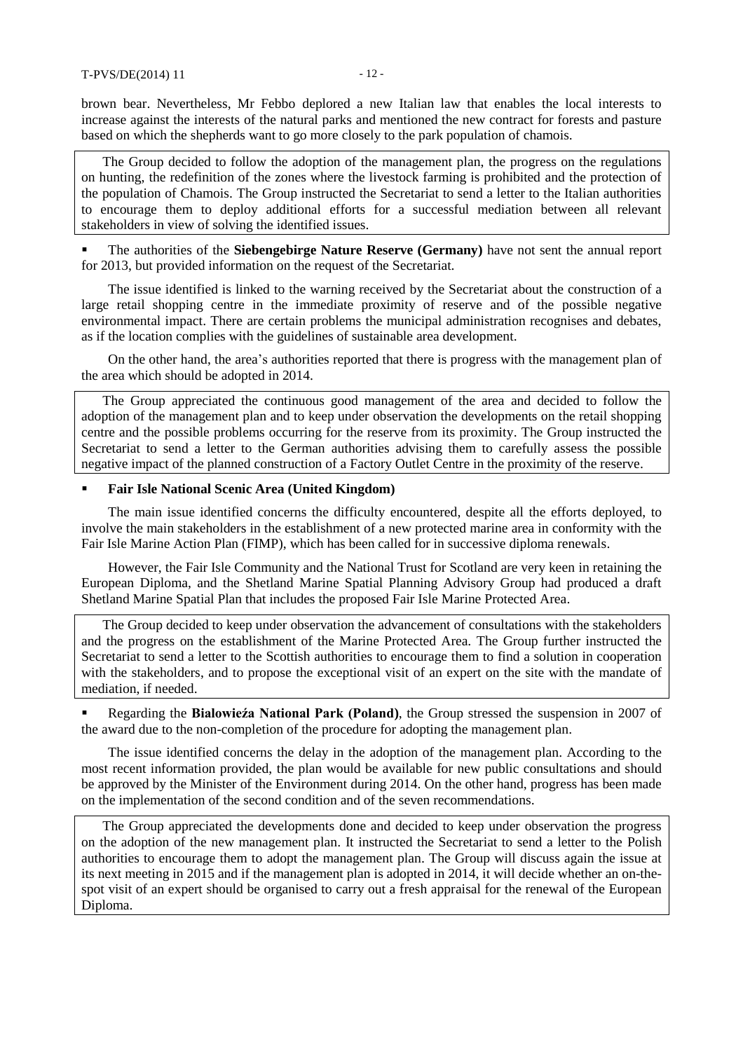brown bear. Nevertheless, Mr Febbo deplored a new Italian law that enables the local interests to increase against the interests of the natural parks and mentioned the new contract for forests and pasture based on which the shepherds want to go more closely to the park population of chamois.

The Group decided to follow the adoption of the management plan, the progress on the regulations on hunting, the redefinition of the zones where the livestock farming is prohibited and the protection of the population of Chamois. The Group instructed the Secretariat to send a letter to the Italian authorities to encourage them to deploy additional efforts for a successful mediation between all relevant stakeholders in view of solving the identified issues.

 The authorities of the **Siebengebirge Nature Reserve (Germany)** have not sent the annual report for 2013, but provided information on the request of the Secretariat.

The issue identified is linked to the warning received by the Secretariat about the construction of a large retail shopping centre in the immediate proximity of reserve and of the possible negative environmental impact. There are certain problems the municipal administration recognises and debates, as if the location complies with the guidelines of sustainable area development.

On the other hand, the area's authorities reported that there is progress with the management plan of the area which should be adopted in 2014.

The Group appreciated the continuous good management of the area and decided to follow the adoption of the management plan and to keep under observation the developments on the retail shopping centre and the possible problems occurring for the reserve from its proximity. The Group instructed the Secretariat to send a letter to the German authorities advising them to carefully assess the possible negative impact of the planned construction of a Factory Outlet Centre in the proximity of the reserve.

## **Fair Isle National Scenic Area (United Kingdom)**

The main issue identified concerns the difficulty encountered, despite all the efforts deployed, to involve the main stakeholders in the establishment of a new protected marine area in conformity with the Fair Isle Marine Action Plan (FIMP), which has been called for in successive diploma renewals.

However, the Fair Isle Community and the National Trust for Scotland are very keen in retaining the European Diploma, and the Shetland Marine Spatial Planning Advisory Group had produced a draft Shetland Marine Spatial Plan that includes the proposed Fair Isle Marine Protected Area.

The Group decided to keep under observation the advancement of consultations with the stakeholders and the progress on the establishment of the Marine Protected Area. The Group further instructed the Secretariat to send a letter to the Scottish authorities to encourage them to find a solution in cooperation with the stakeholders, and to propose the exceptional visit of an expert on the site with the mandate of mediation, if needed.

 Regarding the **Bialowieźa National Park (Poland)**, the Group stressed the suspension in 2007 of the award due to the non-completion of the procedure for adopting the management plan.

The issue identified concerns the delay in the adoption of the management plan. According to the most recent information provided, the plan would be available for new public consultations and should be approved by the Minister of the Environment during 2014. On the other hand, progress has been made on the implementation of the second condition and of the seven recommendations.

The Group appreciated the developments done and decided to keep under observation the progress on the adoption of the new management plan. It instructed the Secretariat to send a letter to the Polish authorities to encourage them to adopt the management plan. The Group will discuss again the issue at its next meeting in 2015 and if the management plan is adopted in 2014, it will decide whether an on-thespot visit of an expert should be organised to carry out a fresh appraisal for the renewal of the European Diploma.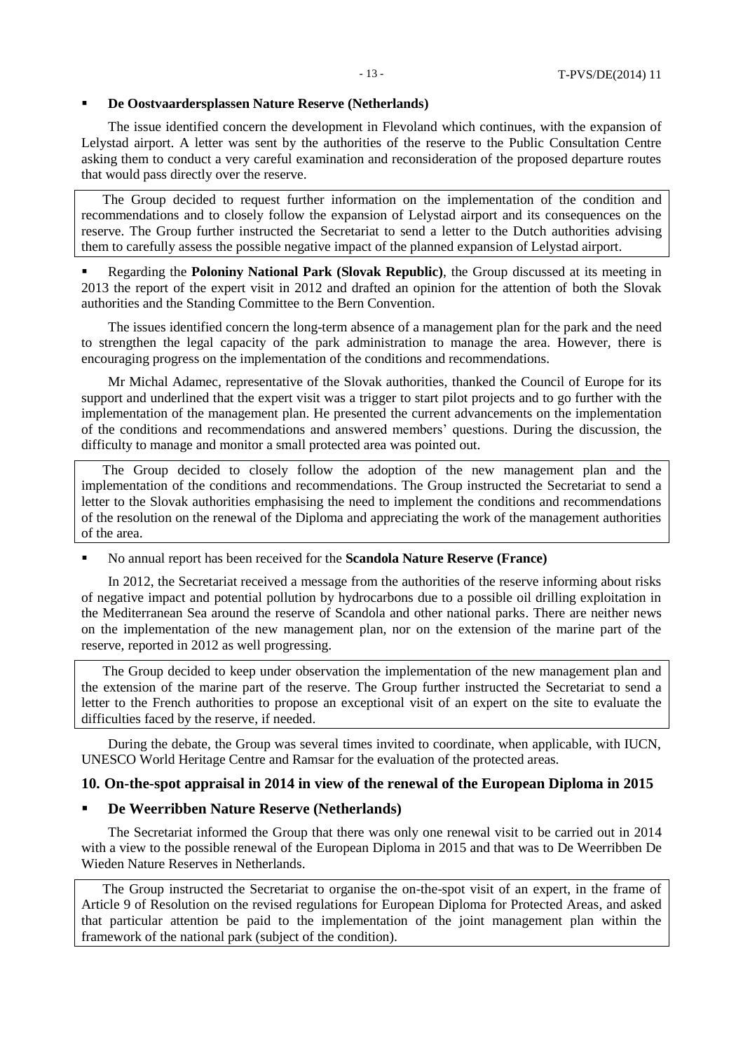#### **De Oostvaardersplassen Nature Reserve (Netherlands)**

The issue identified concern the development in Flevoland which continues, with the expansion of Lelystad airport. A letter was sent by the authorities of the reserve to the Public Consultation Centre asking them to conduct a very careful examination and reconsideration of the proposed departure routes that would pass directly over the reserve.

The Group decided to request further information on the implementation of the condition and recommendations and to closely follow the expansion of Lelystad airport and its consequences on the reserve. The Group further instructed the Secretariat to send a letter to the Dutch authorities advising them to carefully assess the possible negative impact of the planned expansion of Lelystad airport.

 Regarding the **Poloniny National Park (Slovak Republic)**, the Group discussed at its meeting in 2013 the report of the expert visit in 2012 and drafted an opinion for the attention of both the Slovak authorities and the Standing Committee to the Bern Convention.

The issues identified concern the long-term absence of a management plan for the park and the need to strengthen the legal capacity of the park administration to manage the area. However, there is encouraging progress on the implementation of the conditions and recommendations.

Mr Michal Adamec, representative of the Slovak authorities, thanked the Council of Europe for its support and underlined that the expert visit was a trigger to start pilot projects and to go further with the implementation of the management plan. He presented the current advancements on the implementation of the conditions and recommendations and answered members' questions. During the discussion, the difficulty to manage and monitor a small protected area was pointed out.

The Group decided to closely follow the adoption of the new management plan and the implementation of the conditions and recommendations. The Group instructed the Secretariat to send a letter to the Slovak authorities emphasising the need to implement the conditions and recommendations of the resolution on the renewal of the Diploma and appreciating the work of the management authorities of the area.

No annual report has been received for the **Scandola Nature Reserve (France)**

In 2012, the Secretariat received a message from the authorities of the reserve informing about risks of negative impact and potential pollution by hydrocarbons due to a possible oil drilling exploitation in the Mediterranean Sea around the reserve of Scandola and other national parks. There are neither news on the implementation of the new management plan, nor on the extension of the marine part of the reserve, reported in 2012 as well progressing.

The Group decided to keep under observation the implementation of the new management plan and the extension of the marine part of the reserve. The Group further instructed the Secretariat to send a letter to the French authorities to propose an exceptional visit of an expert on the site to evaluate the difficulties faced by the reserve, if needed.

During the debate, the Group was several times invited to coordinate, when applicable, with IUCN, UNESCO World Heritage Centre and Ramsar for the evaluation of the protected areas.

## **10. On-the-spot appraisal in 2014 in view of the renewal of the European Diploma in 2015**

#### **De Weerribben Nature Reserve (Netherlands)**

The Secretariat informed the Group that there was only one renewal visit to be carried out in 2014 with a view to the possible renewal of the European Diploma in 2015 and that was to De Weerribben De Wieden Nature Reserves in Netherlands.

The Group instructed the Secretariat to organise the on-the-spot visit of an expert, in the frame of Article 9 of Resolution on the revised regulations for European Diploma for Protected Areas, and asked that particular attention be paid to the implementation of the joint management plan within the framework of the national park (subject of the condition).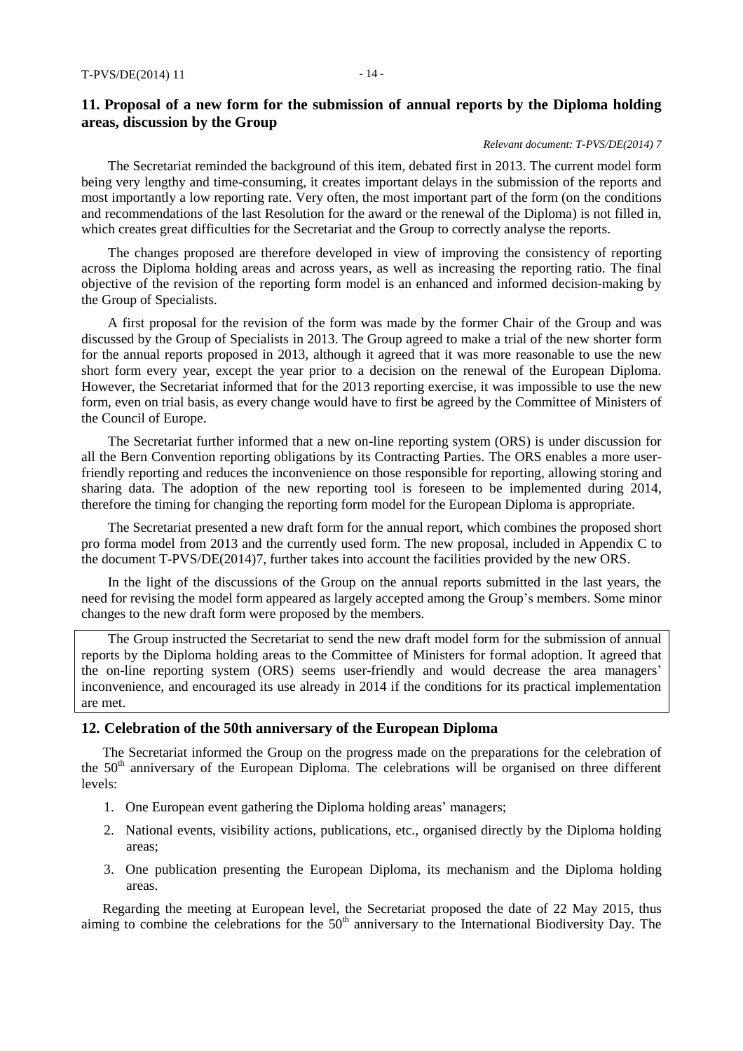#### *Relevant document: T-PVS/DE(2014) 7*

The Secretariat reminded the background of this item, debated first in 2013. The current model form being very lengthy and time-consuming, it creates important delays in the submission of the reports and most importantly a low reporting rate. Very often, the most important part of the form (on the conditions and recommendations of the last Resolution for the award or the renewal of the Diploma) is not filled in, which creates great difficulties for the Secretariat and the Group to correctly analyse the reports.

The changes proposed are therefore developed in view of improving the consistency of reporting across the Diploma holding areas and across years, as well as increasing the reporting ratio. The final objective of the revision of the reporting form model is an enhanced and informed decision-making by the Group of Specialists.

A first proposal for the revision of the form was made by the former Chair of the Group and was discussed by the Group of Specialists in 2013. The Group agreed to make a trial of the new shorter form for the annual reports proposed in 2013, although it agreed that it was more reasonable to use the new short form every year, except the year prior to a decision on the renewal of the European Diploma. However, the Secretariat informed that for the 2013 reporting exercise, it was impossible to use the new form, even on trial basis, as every change would have to first be agreed by the Committee of Ministers of the Council of Europe.

The Secretariat further informed that a new on-line reporting system (ORS) is under discussion for all the Bern Convention reporting obligations by its Contracting Parties. The ORS enables a more userfriendly reporting and reduces the inconvenience on those responsible for reporting, allowing storing and sharing data. The adoption of the new reporting tool is foreseen to be implemented during 2014, therefore the timing for changing the reporting form model for the European Diploma is appropriate.

The Secretariat presented a new draft form for the annual report, which combines the proposed short pro forma model from 2013 and the currently used form. The new proposal, included in Appendix C to the document T-PVS/DE(2014)7, further takes into account the facilities provided by the new ORS.

In the light of the discussions of the Group on the annual reports submitted in the last years, the need for revising the model form appeared as largely accepted among the Group's members. Some minor changes to the new draft form were proposed by the members.

The Group instructed the Secretariat to send the new draft model form for the submission of annual reports by the Diploma holding areas to the Committee of Ministers for formal adoption. It agreed that the on-line reporting system (ORS) seems user-friendly and would decrease the area managers' inconvenience, and encouraged its use already in 2014 if the conditions for its practical implementation are met.

#### **12. Celebration of the 50th anniversary of the European Diploma**

The Secretariat informed the Group on the progress made on the preparations for the celebration of the 50<sup>th</sup> anniversary of the European Diploma. The celebrations will be organised on three different levels:

- 1. One European event gathering the Diploma holding areas' managers;
- 2. National events, visibility actions, publications, etc., organised directly by the Diploma holding areas;
- 3. One publication presenting the European Diploma, its mechanism and the Diploma holding areas.

Regarding the meeting at European level, the Secretariat proposed the date of 22 May 2015, thus aiming to combine the celebrations for the  $50<sup>th</sup>$  anniversary to the International Biodiversity Day. The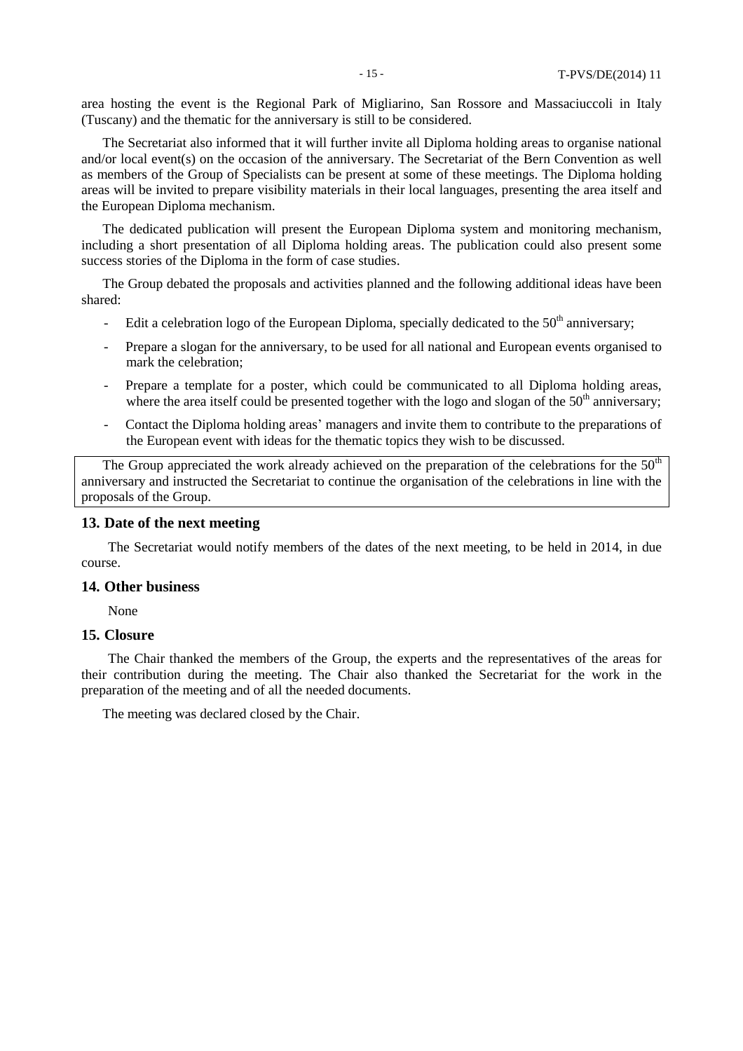area hosting the event is the Regional Park of Migliarino, San Rossore and Massaciuccoli in Italy (Tuscany) and the thematic for the anniversary is still to be considered.

The Secretariat also informed that it will further invite all Diploma holding areas to organise national and/or local event(s) on the occasion of the anniversary. The Secretariat of the Bern Convention as well as members of the Group of Specialists can be present at some of these meetings. The Diploma holding areas will be invited to prepare visibility materials in their local languages, presenting the area itself and the European Diploma mechanism.

The dedicated publication will present the European Diploma system and monitoring mechanism, including a short presentation of all Diploma holding areas. The publication could also present some success stories of the Diploma in the form of case studies.

The Group debated the proposals and activities planned and the following additional ideas have been shared:

- Edit a celebration logo of the European Diploma, specially dedicated to the  $50<sup>th</sup>$  anniversary;
- Prepare a slogan for the anniversary, to be used for all national and European events organised to mark the celebration;
- Prepare a template for a poster, which could be communicated to all Diploma holding areas, where the area itself could be presented together with the logo and slogan of the  $50<sup>th</sup>$  anniversary;
- Contact the Diploma holding areas' managers and invite them to contribute to the preparations of the European event with ideas for the thematic topics they wish to be discussed.

The Group appreciated the work already achieved on the preparation of the celebrations for the  $50<sup>th</sup>$ anniversary and instructed the Secretariat to continue the organisation of the celebrations in line with the proposals of the Group.

## **13. Date of the next meeting**

The Secretariat would notify members of the dates of the next meeting, to be held in 2014, in due course.

#### **14. Other business**

None

## **15. Closure**

The Chair thanked the members of the Group, the experts and the representatives of the areas for their contribution during the meeting. The Chair also thanked the Secretariat for the work in the preparation of the meeting and of all the needed documents.

The meeting was declared closed by the Chair.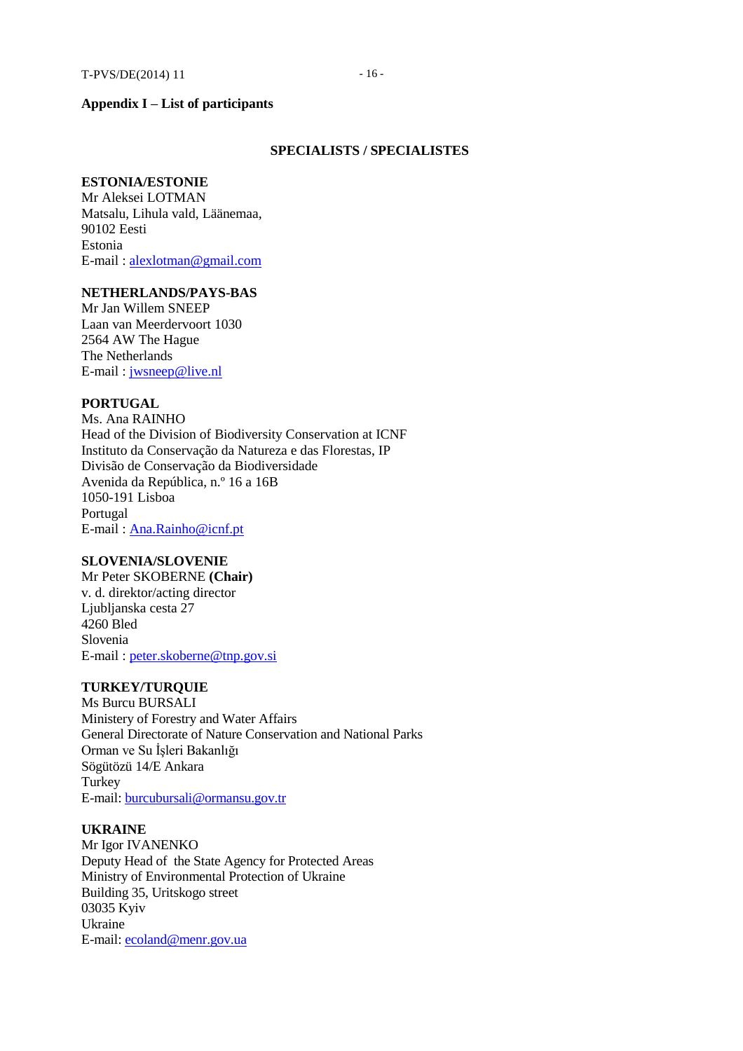# **Appendix I – List of participants**

#### **SPECIALISTS / SPECIALISTES**

## **ESTONIA/ESTONIE**

Mr Aleksei LOTMAN Matsalu, Lihula vald, Läänemaa, 90102 Eesti Estonia E-mail [: alexlotman@gmail.com](mailto:alexlotman@gmail.com)

# **NETHERLANDS/PAYS-BAS**

Mr Jan Willem SNEEP Laan van Meerdervoort 1030 2564 AW The Hague The Netherlands E-mail [: jwsneep@live.nl](mailto:jwsneep@live.nl)

# **PORTUGAL**

Ms. Ana RAINHO Head of the Division of Biodiversity Conservation at ICNF Instituto da Conservação da Natureza e das Florestas, IP Divisão de Conservação da Biodiversidade Avenida da República, n.º 16 a 16B 1050-191 Lisboa Portugal E-mail [: Ana.Rainho@icnf.pt](mailto:Ana.Rainho@icnf.pt)

## **SLOVENIA/SLOVENIE**

Mr Peter SKOBERNE **(Chair)** v. d. direktor/acting director Ljubljanska cesta 27 4260 Bled Slovenia E-mail [: peter.skoberne@tnp.gov.si](mailto:peter.skoberne@tnp.gov.si)

## **TURKEY/TURQUIE**

Ms Burcu BURSALI Ministery of Forestry and Water Affairs General Directorate of Nature Conservation and National Parks Orman ve Su İşleri Bakanlığı Sögütözü 14/E Ankara Turkey E-mail: [burcubursali@ormansu.gov.tr](mailto:burcubursali@ormansu.gov.tr)

#### **UKRAINE**

Mr Igor IVANENKO Deputy Head of the State Agency for Protected Areas Ministry of Environmental Protection of Ukraine Building 35, Uritskogo street 03035 Kyiv Ukraine E-mail: [ecoland@menr.gov.ua](mailto:ecoland@menr.gov.ua)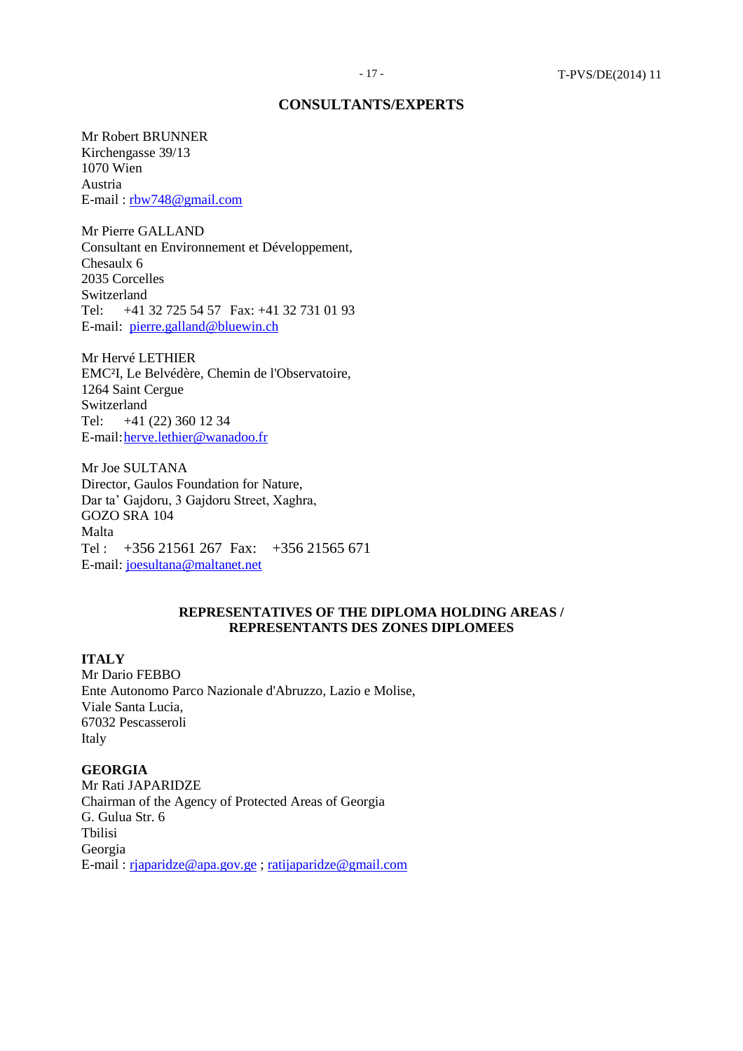#### **CONSULTANTS/EXPERTS**

Mr Robert BRUNNER Kirchengasse 39/13 1070 Wien Austria E-mail : [rbw748@gmail.com](mailto:rbw748@gmail.com)

Mr Pierre GALLAND Consultant en Environnement et Développement, Chesaulx 6 2035 Corcelles Switzerland Tel: +41 32 725 54 57 Fax: +41 32 731 01 93 E-mail: [pierre.galland@bluewin.ch](mailto:pierre.galland@bluewin.ch)

Mr Hervé LETHIER EMC²I, Le Belvédère, Chemin de l'Observatoire, 1264 Saint Cergue Switzerland Tel: +41 (22) 360 12 34 E-mail: herve.lethier@wanadoo.fr

Mr Joe SULTANA Director, Gaulos Foundation for Nature, Dar ta' Gajdoru, 3 Gajdoru Street, Xaghra, GOZO SRA 104 Malta Tel : +356 21561 267 Fax: +356 21565 671 E-mail: [joesultana@maltanet.net](mailto:joesultana@maltanet.net)

# **REPRESENTATIVES OF THE DIPLOMA HOLDING AREAS / REPRESENTANTS DES ZONES DIPLOMEES**

**ITALY**

Mr Dario FEBBO Ente Autonomo Parco Nazionale d'Abruzzo, Lazio e Molise, Viale Santa Lucia, 67032 Pescasseroli Italy

**GEORGIA** Mr Rati JAPARIDZE Chairman of the Agency of Protected Areas of Georgia G. Gulua Str. 6 Tbilisi Georgia E-mail : [rjaparidze@apa.gov.ge](mailto:rjaparidze@apa.gov.ge) ; [ratijaparidze@gmail.com](mailto:ratijaparidze@gmail.com)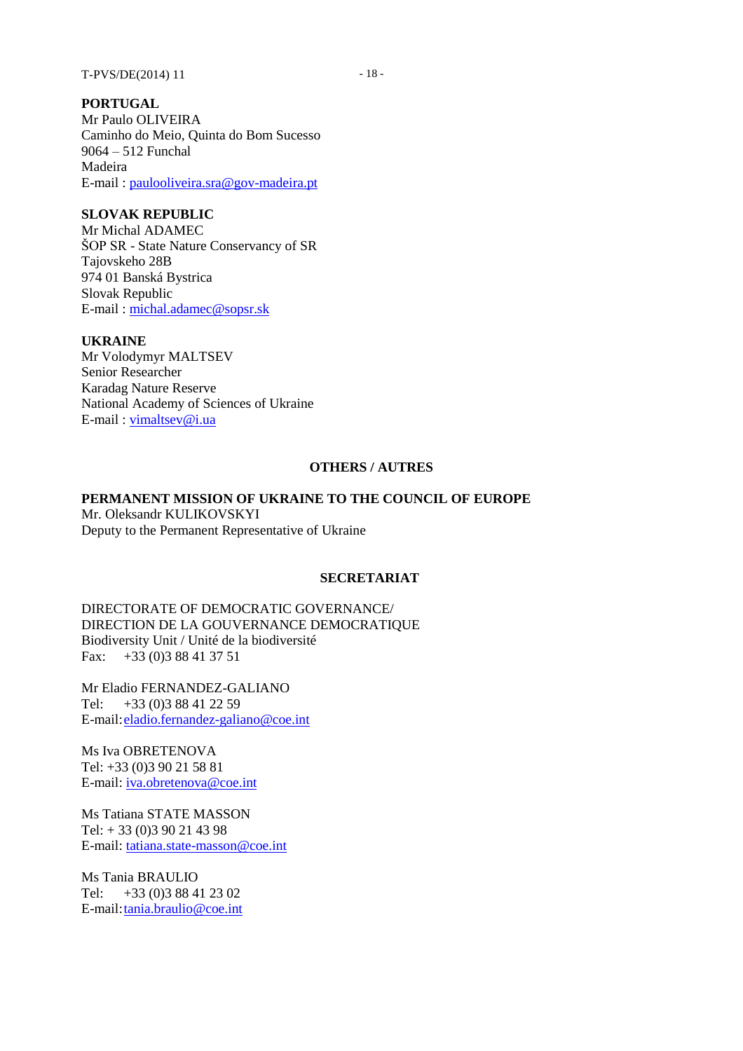## **SLOVAK REPUBLIC**

Mr Michal ADAMEC ŠOP SR - State Nature Conservancy of SR Tajovskeho 28B 974 01 Banská Bystrica Slovak Republic E-mail : [michal.adamec@sopsr.sk](mailto:michal.adamec@sopsr.sk)

# **UKRAINE**

Mr Volodymyr MALTSEV Senior Researcher Karadag Nature Reserve National Academy of Sciences of Ukraine E-mail : [vimaltsev@i.ua](mailto:vimaltsev@i.ua)

## **OTHERS / AUTRES**

## **PERMANENT MISSION OF UKRAINE TO THE COUNCIL OF EUROPE**

Mr. Oleksandr KULIKOVSKYI Deputy to the Permanent Representative of Ukraine

#### **SECRETARIAT**

DIRECTORATE OF DEMOCRATIC GOVERNANCE/ DIRECTION DE LA GOUVERNANCE DEMOCRATIQUE Biodiversity Unit / Unité de la biodiversité Fax: +33 (0)3 88 41 37 51

Mr Eladio FERNANDEZ-GALIANO Tel: +33 (0)3 88 41 22 59 E-mail[:eladio.fernandez-galiano@coe.int](mailto:eladio.fernandez-galiano@coe.int)

Ms Iva OBRETENOVA Tel: +33 (0)3 90 21 58 81 E-mail: [iva.obretenova@coe.int](mailto:iva.obretenova@coe.int)

Ms Tatiana STATE MASSON Tel: + 33 (0)3 90 21 43 98 E-mail: [tatiana.state-masson@coe.int](mailto:tatiana.state-masson@coe.int)

Ms Tania BRAULIO Tel: +33 (0)3 88 41 23 02 E-mail[:tania.braulio@coe.int](mailto:tania.braulio@coe.int)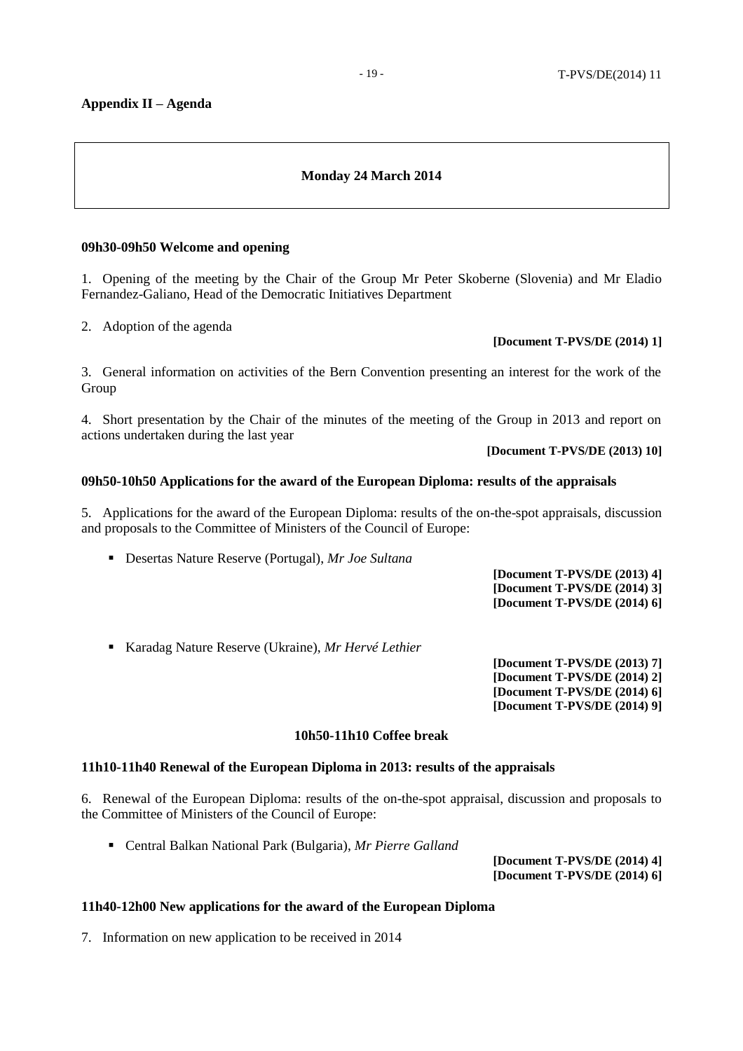## **Appendix II – Agenda**

# **Monday 24 March 2014**

## **09h30-09h50 Welcome and opening**

1. Opening of the meeting by the Chair of the Group Mr Peter Skoberne (Slovenia) and Mr Eladio Fernandez-Galiano, Head of the Democratic Initiatives Department

2. Adoption of the agenda

#### **[Document T-PVS/DE (2014) 1]**

3. General information on activities of the Bern Convention presenting an interest for the work of the Group

4. Short presentation by the Chair of the minutes of the meeting of the Group in 2013 and report on actions undertaken during the last year

**[Document T-PVS/DE (2013) 10]**

#### **09h50-10h50 Applications for the award of the European Diploma: results of the appraisals**

5. Applications for the award of the European Diploma: results of the on-the-spot appraisals, discussion and proposals to the Committee of Ministers of the Council of Europe:

Desertas Nature Reserve (Portugal), *Mr Joe Sultana*

**[Document T-PVS/DE (2013) 4] [Document T-PVS/DE (2014) 3] [Document T-PVS/DE (2014) 6]**

Karadag Nature Reserve (Ukraine), *Mr Hervé Lethier*

**[Document T-PVS/DE (2013) 7] [Document T-PVS/DE (2014) 2] [Document T-PVS/DE (2014) 6] [Document T-PVS/DE (2014) 9]**

#### **10h50-11h10 Coffee break**

#### **11h10-11h40 Renewal of the European Diploma in 2013: results of the appraisals**

6. Renewal of the European Diploma: results of the on-the-spot appraisal, discussion and proposals to the Committee of Ministers of the Council of Europe:

Central Balkan National Park (Bulgaria), *Mr Pierre Galland*

**[Document T-PVS/DE (2014) 4] [Document T-PVS/DE (2014) 6]**

#### **11h40-12h00 New applications for the award of the European Diploma**

7. Information on new application to be received in 2014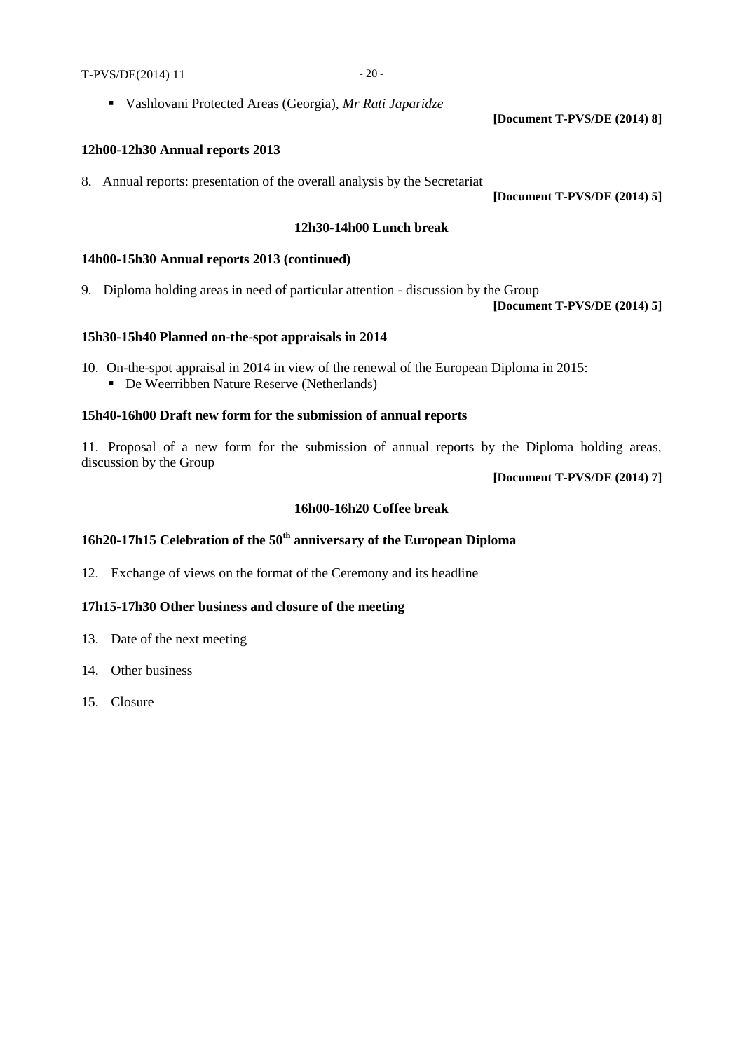Vashlovani Protected Areas (Georgia), *Mr Rati Japaridze*

## **12h00-12h30 Annual reports 2013**

8. Annual reports: presentation of the overall analysis by the Secretariat

**[Document T-PVS/DE (2014) 5]**

**[Document T-PVS/DE (2014) 8]**

#### **12h30-14h00 Lunch break**

## **14h00-15h30 Annual reports 2013 (continued)**

9. Diploma holding areas in need of particular attention - discussion by the Group

**[Document T-PVS/DE (2014) 5]**

## **15h30-15h40 Planned on-the-spot appraisals in 2014**

10. On-the-spot appraisal in 2014 in view of the renewal of the European Diploma in 2015: De Weerribben Nature Reserve (Netherlands)

## **15h40-16h00 Draft new form for the submission of annual reports**

11. Proposal of a new form for the submission of annual reports by the Diploma holding areas, discussion by the Group

**[Document T-PVS/DE (2014) 7]**

## **16h00-16h20 Coffee break**

# **16h20-17h15 Celebration of the 50th anniversary of the European Diploma**

12. Exchange of views on the format of the Ceremony and its headline

# **17h15-17h30 Other business and closure of the meeting**

- 13. Date of the next meeting
- 14. Other business
- 15. Closure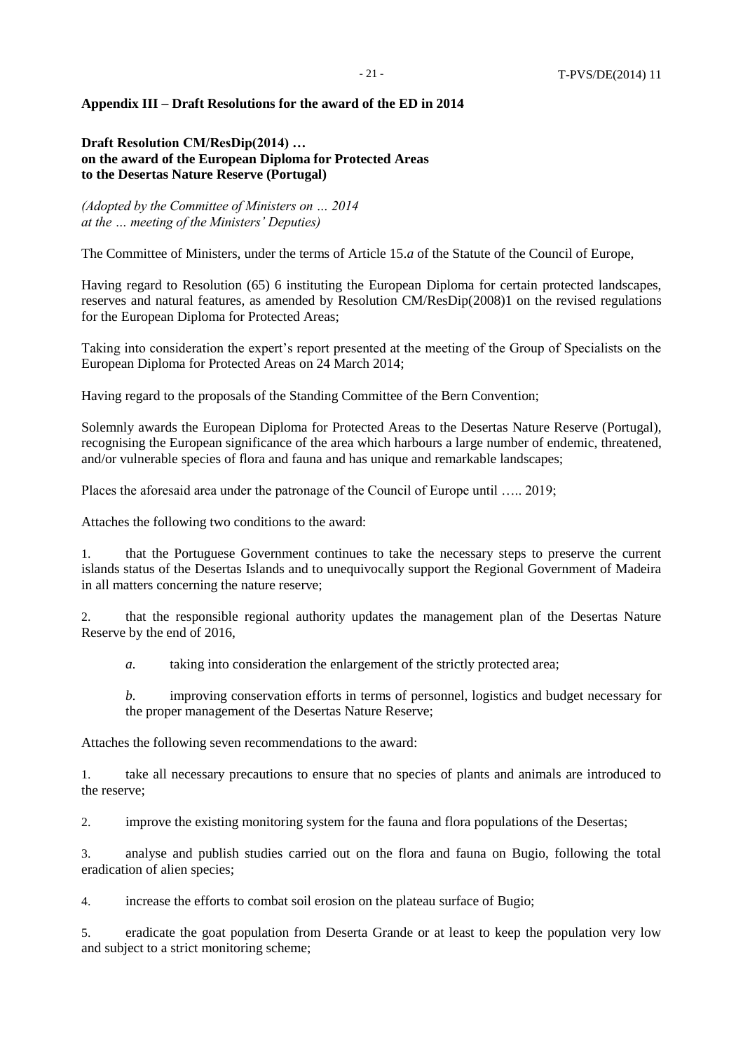#### **Appendix III – Draft Resolutions for the award of the ED in 2014**

# **Draft Resolution CM/ResDip(2014) … on the award of the European Diploma for Protected Areas to the Desertas Nature Reserve (Portugal)**

*(Adopted by the Committee of Ministers on … 2014 at the … meeting of the Ministers' Deputies)*

The Committee of Ministers, under the terms of Article 15.*a* of the Statute of the Council of Europe,

Having regard to Resolution (65) 6 instituting the European Diploma for certain protected landscapes, reserves and natural features, as amended by Resolution CM/ResDip(2008)1 on the revised regulations for the European Diploma for Protected Areas;

Taking into consideration the expert's report presented at the meeting of the Group of Specialists on the European Diploma for Protected Areas on 24 March 2014;

Having regard to the proposals of the Standing Committee of the Bern Convention;

Solemnly awards the European Diploma for Protected Areas to the Desertas Nature Reserve (Portugal), recognising the European significance of the area which harbours a large number of endemic, threatened, and/or vulnerable species of flora and fauna and has unique and remarkable landscapes;

Places the aforesaid area under the patronage of the Council of Europe until ….. 2019;

Attaches the following two conditions to the award:

1. that the Portuguese Government continues to take the necessary steps to preserve the current islands status of the Desertas Islands and to unequivocally support the Regional Government of Madeira in all matters concerning the nature reserve;

2. that the responsible regional authority updates the management plan of the Desertas Nature Reserve by the end of 2016,

*a.* taking into consideration the enlargement of the strictly protected area;

*b.* improving conservation efforts in terms of personnel, logistics and budget necessary for the proper management of the Desertas Nature Reserve;

Attaches the following seven recommendations to the award:

1. take all necessary precautions to ensure that no species of plants and animals are introduced to the reserve;

2. improve the existing monitoring system for the fauna and flora populations of the Desertas;

3. analyse and publish studies carried out on the flora and fauna on Bugio, following the total eradication of alien species;

4. increase the efforts to combat soil erosion on the plateau surface of Bugio;

5. eradicate the goat population from Deserta Grande or at least to keep the population very low and subject to a strict monitoring scheme;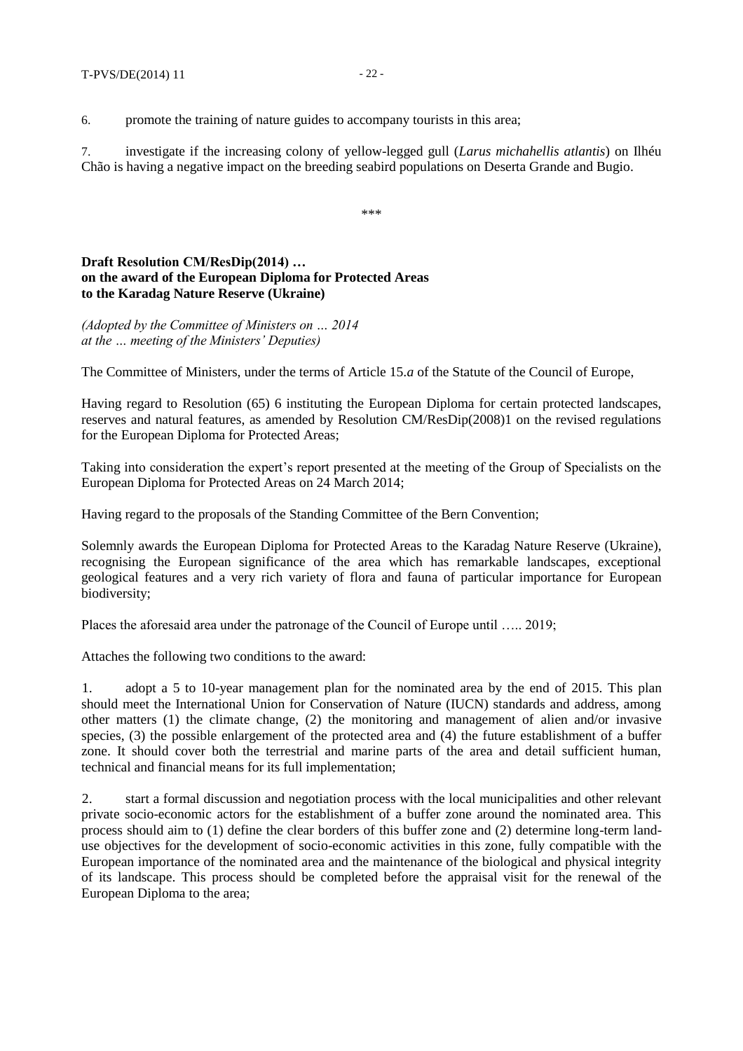6. promote the training of nature guides to accompany tourists in this area;

7. investigate if the increasing colony of yellow-legged gull (*Larus michahellis atlantis*) on Ilhéu Chão is having a negative impact on the breeding seabird populations on Deserta Grande and Bugio.

\*\*\*

# **Draft Resolution CM/ResDip(2014) … on the award of the European Diploma for Protected Areas to the Karadag Nature Reserve (Ukraine)**

*(Adopted by the Committee of Ministers on … 2014 at the … meeting of the Ministers' Deputies)*

The Committee of Ministers, under the terms of Article 15.*a* of the Statute of the Council of Europe,

Having regard to Resolution (65) 6 instituting the European Diploma for certain protected landscapes, reserves and natural features, as amended by Resolution CM/ResDip(2008)1 on the revised regulations for the European Diploma for Protected Areas;

Taking into consideration the expert's report presented at the meeting of the Group of Specialists on the European Diploma for Protected Areas on 24 March 2014;

Having regard to the proposals of the Standing Committee of the Bern Convention;

Solemnly awards the European Diploma for Protected Areas to the Karadag Nature Reserve (Ukraine), recognising the European significance of the area which has remarkable landscapes, exceptional geological features and a very rich variety of flora and fauna of particular importance for European biodiversity;

Places the aforesaid area under the patronage of the Council of Europe until ….. 2019;

Attaches the following two conditions to the award:

1. adopt a 5 to 10-year management plan for the nominated area by the end of 2015. This plan should meet the International Union for Conservation of Nature (IUCN) standards and address, among other matters (1) the climate change, (2) the monitoring and management of alien and/or invasive species, (3) the possible enlargement of the protected area and (4) the future establishment of a buffer zone. It should cover both the terrestrial and marine parts of the area and detail sufficient human, technical and financial means for its full implementation;

2. start a formal discussion and negotiation process with the local municipalities and other relevant private socio-economic actors for the establishment of a buffer zone around the nominated area. This process should aim to (1) define the clear borders of this buffer zone and (2) determine long-term landuse objectives for the development of socio-economic activities in this zone, fully compatible with the European importance of the nominated area and the maintenance of the biological and physical integrity of its landscape. This process should be completed before the appraisal visit for the renewal of the European Diploma to the area;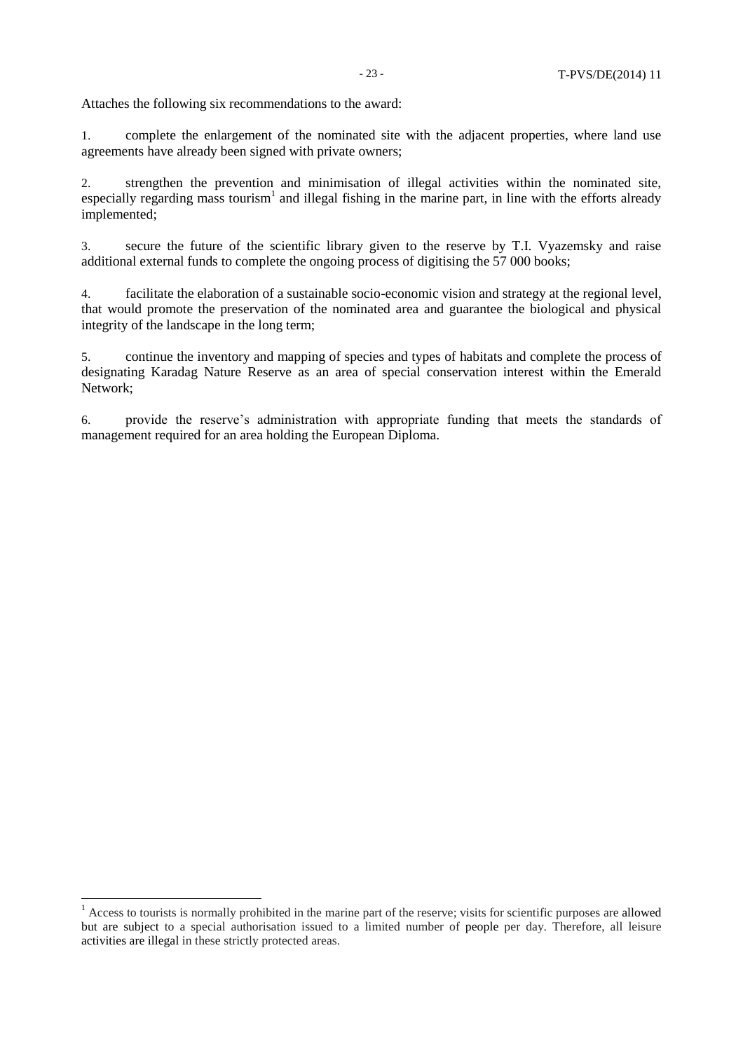Attaches the following six recommendations to the award:

1. complete the enlargement of the nominated site with the adjacent properties, where land use agreements have already been signed with private owners;

2. strengthen the prevention and minimisation of illegal activities within the nominated site, especially regarding mass tourism<sup>1</sup> and illegal fishing in the marine part, in line with the efforts already implemented;

3. secure the future of the scientific library given to the reserve by T.I. Vyazemsky and raise additional external funds to complete the ongoing process of digitising the 57 000 books;

4. facilitate the elaboration of a sustainable socio-economic vision and strategy at the regional level, that would promote the preservation of the nominated area and guarantee the biological and physical integrity of the landscape in the long term;

5. continue the inventory and mapping of species and types of habitats and complete the process of designating Karadag Nature Reserve as an area of special conservation interest within the Emerald Network;

6. provide the reserve's administration with appropriate funding that meets the standards of management required for an area holding the European Diploma.

 $<sup>1</sup>$  Access to tourists is normally prohibited in the marine part of the reserve; visits for scientific purposes are allowed</sup> but are subject to a special authorisation issued to a limited number of people per day. Therefore, all leisure activities are illegal in these strictly protected areas.